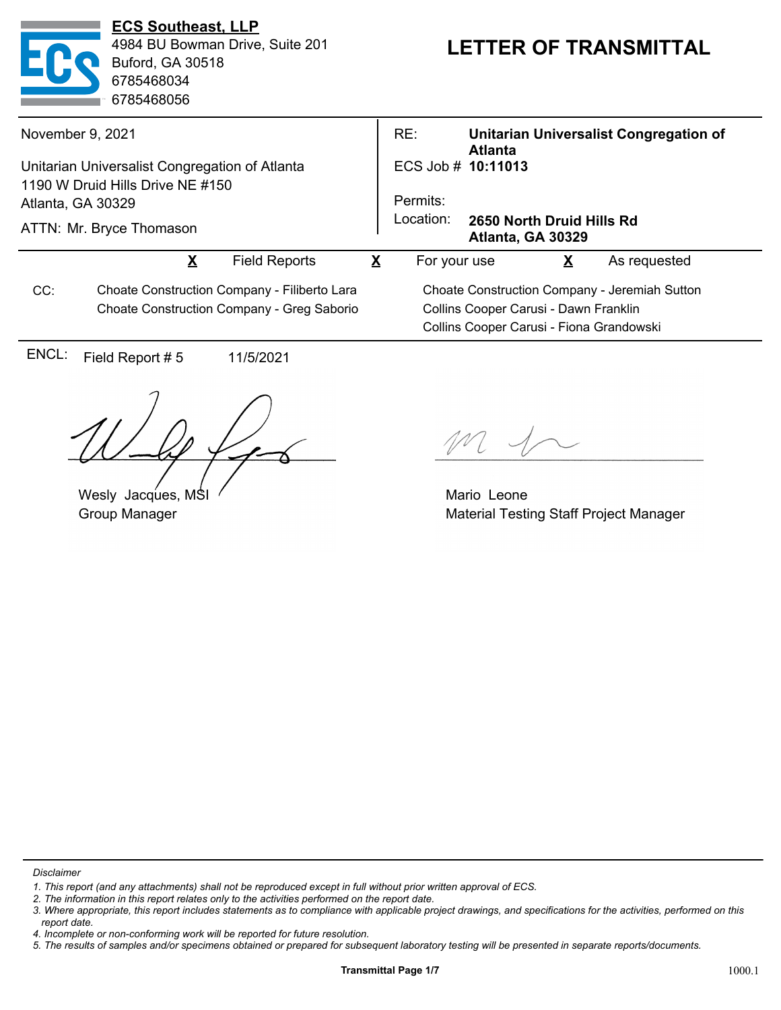| <b>ECS Southeast, LLP</b><br>4984 BU Bowman Drive, Suite 201<br><b>Buford, GA 30518</b><br>6785468034<br>6785468056                 | <b>LETTER OF TRANSMITTAL</b>                                                                                                       |
|-------------------------------------------------------------------------------------------------------------------------------------|------------------------------------------------------------------------------------------------------------------------------------|
| November 9, 2021                                                                                                                    | RE:<br><b>Unitarian Universalist Congregation of</b>                                                                               |
| Unitarian Universalist Congregation of Atlanta<br>1190 W Druid Hills Drive NE #150<br>Atlanta, GA 30329<br>ATTN: Mr. Bryce Thomason | <b>Atlanta</b><br>ECS Job # 10:11013<br>Permits:<br>Location:<br>2650 North Druid Hills Rd<br>Atlanta, GA 30329                    |
| X<br><b>Field Reports</b>                                                                                                           | X<br>As requested<br>For your use<br>X                                                                                             |
| CC:<br>Choate Construction Company - Filiberto Lara<br>Choate Construction Company - Greg Saborio                                   | Choate Construction Company - Jeremiah Sutton<br>Collins Cooper Carusi - Dawn Franklin<br>Collins Cooper Carusi - Fiona Grandowski |
| ENCL:<br>Field Report #5<br>11/5/2021                                                                                               |                                                                                                                                    |
|                                                                                                                                     |                                                                                                                                    |

Wesly Jacques, MSI Group Manager

Mario Leone Material Testing Staff Project Manager

*Disclaimer*

*<sup>1.</sup> This report (and any attachments) shall not be reproduced except in full without prior written approval of ECS.*

*<sup>2.</sup> The information in this report relates only to the activities performed on the report date.*

*<sup>3.</sup> Where appropriate, this report includes statements as to compliance with applicable project drawings, and specifications for the activities, performed on this report date.*

*<sup>4.</sup> Incomplete or non-conforming work will be reported for future resolution.*

*<sup>5.</sup> The results of samples and/or specimens obtained or prepared for subsequent laboratory testing will be presented in separate reports/documents.*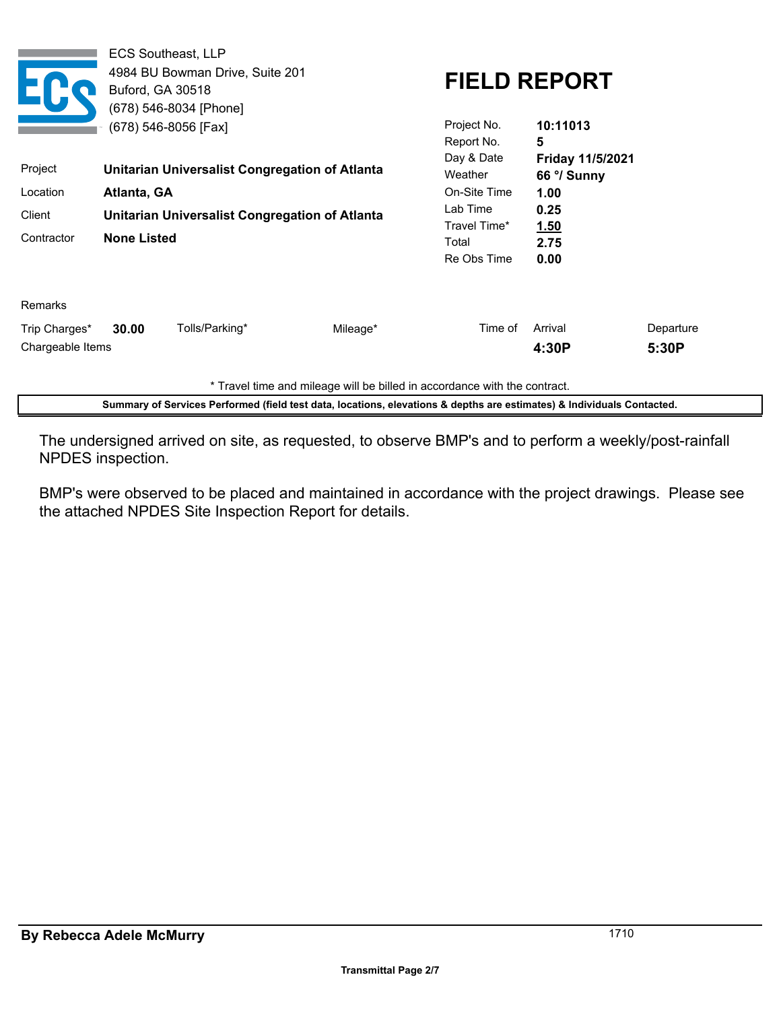|                                   | Buford, GA 30518                                                                                                            | <b>ECS Southeast, LLP</b><br>4984 BU Bowman Drive, Suite 201<br>(678) 546-8034 [Phone]<br>(678) 546-8056 [Fax] |                                                                   | Project No.<br>Report No.                                      | <b>FIELD REPORT</b><br>10:11013<br>5 |                    |
|-----------------------------------|-----------------------------------------------------------------------------------------------------------------------------|----------------------------------------------------------------------------------------------------------------|-------------------------------------------------------------------|----------------------------------------------------------------|--------------------------------------|--------------------|
| Project                           | Unitarian Universalist Congregation of Atlanta<br>Location<br>Atlanta, GA<br>Unitarian Universalist Congregation of Atlanta |                                                                                                                | Day & Date<br>Weather<br>On-Site Time<br>Lab Time<br>Travel Time* | Friday 11/5/2021<br>66 °/ Sunny<br>1.00<br>0.25<br><u>1.50</u> |                                      |                    |
| Client<br>Contractor              |                                                                                                                             |                                                                                                                |                                                                   |                                                                |                                      |                    |
|                                   | <b>None Listed</b>                                                                                                          |                                                                                                                |                                                                   | Total<br>Re Obs Time                                           | 2.75<br>0.00                         |                    |
| <b>Remarks</b>                    |                                                                                                                             |                                                                                                                |                                                                   |                                                                |                                      |                    |
| Trip Charges*<br>Chargeable Items | 30.00                                                                                                                       | Tolls/Parking*                                                                                                 | Mileage*                                                          | Time of                                                        | Arrival<br>4:30P                     | Departure<br>5:30P |

\* Travel time and mileage will be billed in accordance with the contract.

**Summary of Services Performed (field test data, locations, elevations & depths are estimates) & Individuals Contacted.**

The undersigned arrived on site, as requested, to observe BMP's and to perform a weekly/post-rainfall NPDES inspection.

BMP's were observed to be placed and maintained in accordance with the project drawings. Please see the attached NPDES Site Inspection Report for details.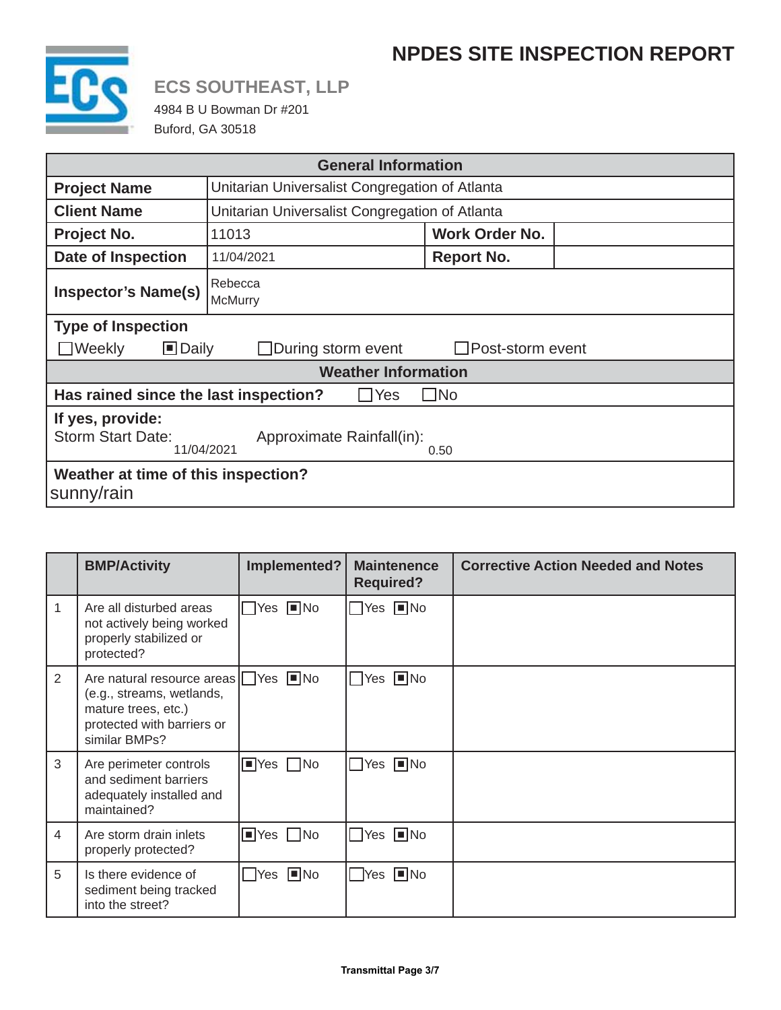### **NPDES SITE INSPECTION REPORT**



# **ECS SOUTHEAST, LLP**

4984 B U Bowman Dr #201 Buford, GA 30518

| <b>General Information</b>                                                                      |                                                |  |  |
|-------------------------------------------------------------------------------------------------|------------------------------------------------|--|--|
| <b>Project Name</b>                                                                             | Unitarian Universalist Congregation of Atlanta |  |  |
| <b>Client Name</b>                                                                              | Unitarian Universalist Congregation of Atlanta |  |  |
| Project No.                                                                                     | Work Order No.<br>11013                        |  |  |
| <b>Date of Inspection</b>                                                                       | <b>Report No.</b><br>11/04/2021                |  |  |
| <b>Inspector's Name(s)</b>                                                                      | Rebecca<br>McMurry                             |  |  |
| <b>Type of Inspection</b>                                                                       |                                                |  |  |
| $\Box$ Daily<br>$\Box$ Weekly<br>$\Box$ During storm event<br>$\Box$ Post-storm event           |                                                |  |  |
| <b>Weather Information</b>                                                                      |                                                |  |  |
| Has rained since the last inspection?<br>$\Box$ No<br>$\Box$ Yes                                |                                                |  |  |
| If yes, provide:<br><b>Storm Start Date:</b><br>Approximate Rainfall(in):<br>11/04/2021<br>0.50 |                                                |  |  |
| Weather at time of this inspection?<br>sunny/rain                                               |                                                |  |  |

|                | <b>BMP/Activity</b>                                                                                                                                                            | Implemented?                 | <b>Maintenence</b><br><b>Required?</b> | <b>Corrective Action Needed and Notes</b> |
|----------------|--------------------------------------------------------------------------------------------------------------------------------------------------------------------------------|------------------------------|----------------------------------------|-------------------------------------------|
| 1              | Are all disturbed areas<br>not actively being worked<br>properly stabilized or<br>protected?                                                                                   | $\Box$ Yes $\Box$ No         | $\Box$ Yes $\Box$ No                   |                                           |
| 2              | Are natural resource areas $\sqrt{\phantom{a}}$ Yes $\sqrt{\phantom{a}}$ No<br>(e.g., streams, wetlands,<br>mature trees, etc.)<br>protected with barriers or<br>similar BMPs? |                              | $\Box$ Yes $\Box$ No                   |                                           |
| 3              | Are perimeter controls<br>and sediment barriers<br>adequately installed and<br>maintained?                                                                                     | $\Box$ Yes $\Box$ No         | $\Box$ Yes $\Box$ No                   |                                           |
| $\overline{4}$ | Are storm drain inlets<br>properly protected?                                                                                                                                  | $\blacksquare$ Yes $\Box$ No | $\Box$ Yes $\Box$ No                   |                                           |
| 5              | Is there evidence of<br>sediment being tracked<br>into the street?                                                                                                             | $\Box$ Yes $\Box$ No         | $\Box$ Yes $\Box$ No                   |                                           |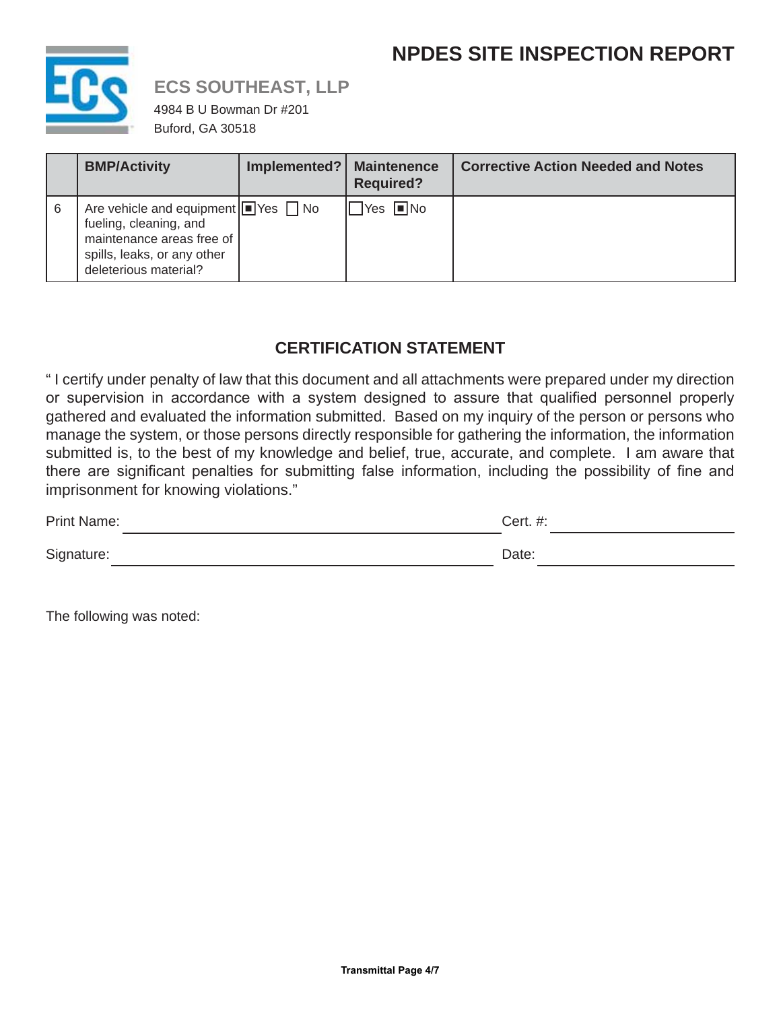### **NPDES SITE INSPECTION REPORT**



### **ECS SOUTHEAST, LLP**

4984 B U Bowman Dr #201 Buford, GA 30518

|    | <b>BMP/Activity</b>                                                                                                                                                                           | Implemented?   Maintenence | <b>Required?</b>     | <b>Corrective Action Needed and Notes</b> |
|----|-----------------------------------------------------------------------------------------------------------------------------------------------------------------------------------------------|----------------------------|----------------------|-------------------------------------------|
| -6 | Are vehicle and equipment $\boxed{\blacksquare}$ Yes $\boxed{\blacksquare}$ No<br>fueling, cleaning, and<br>maintenance areas free of<br>spills, leaks, or any other<br>deleterious material? |                            | $\Box$ Yes $\Box$ No |                                           |

#### **CERTIFICATION STATEMENT**

" I certify under penalty of law that this document and all attachments were prepared under my direction or supervision in accordance with a system designed to assure that qualified personnel properly gathered and evaluated the information submitted. Based on my inquiry of the person or persons who manage the system, or those persons directly responsible for gathering the information, the information submitted is, to the best of my knowledge and belief, true, accurate, and complete. I am aware that there are significant penalties for submitting false information, including the possibility of fine and imprisonment for knowing violations."

| Print Name: | Cert. #: |  |
|-------------|----------|--|
| Signature:  | Date:    |  |

The following was noted: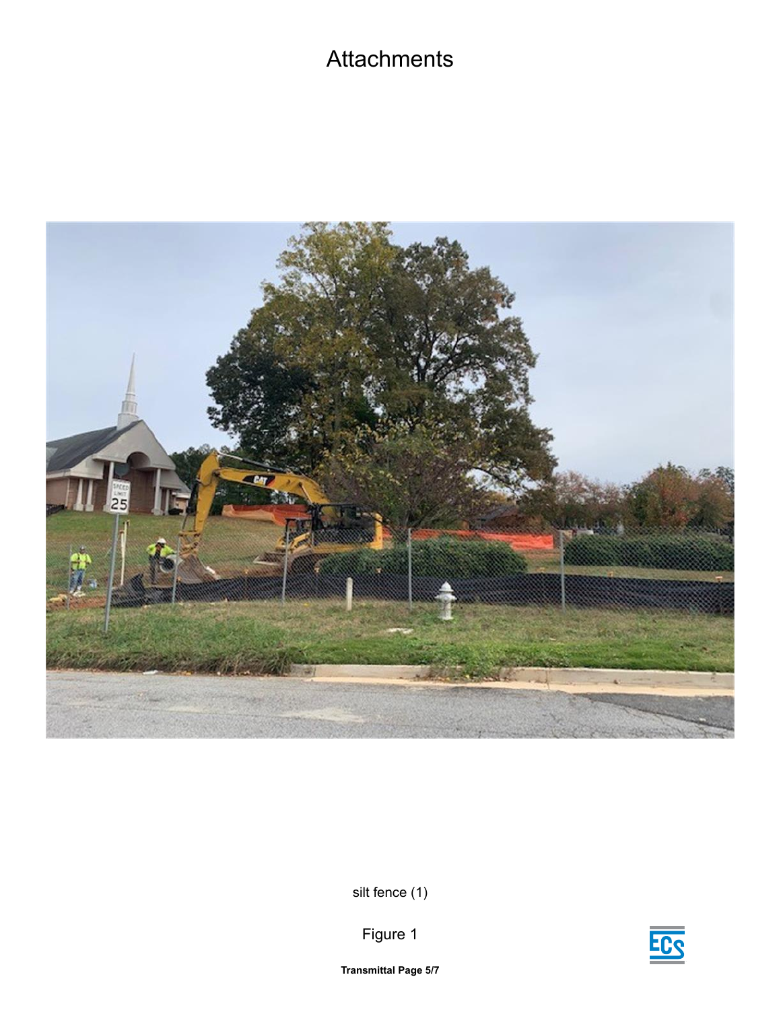## **Attachments**



silt fence (1)





**Transmittal Page 5/7**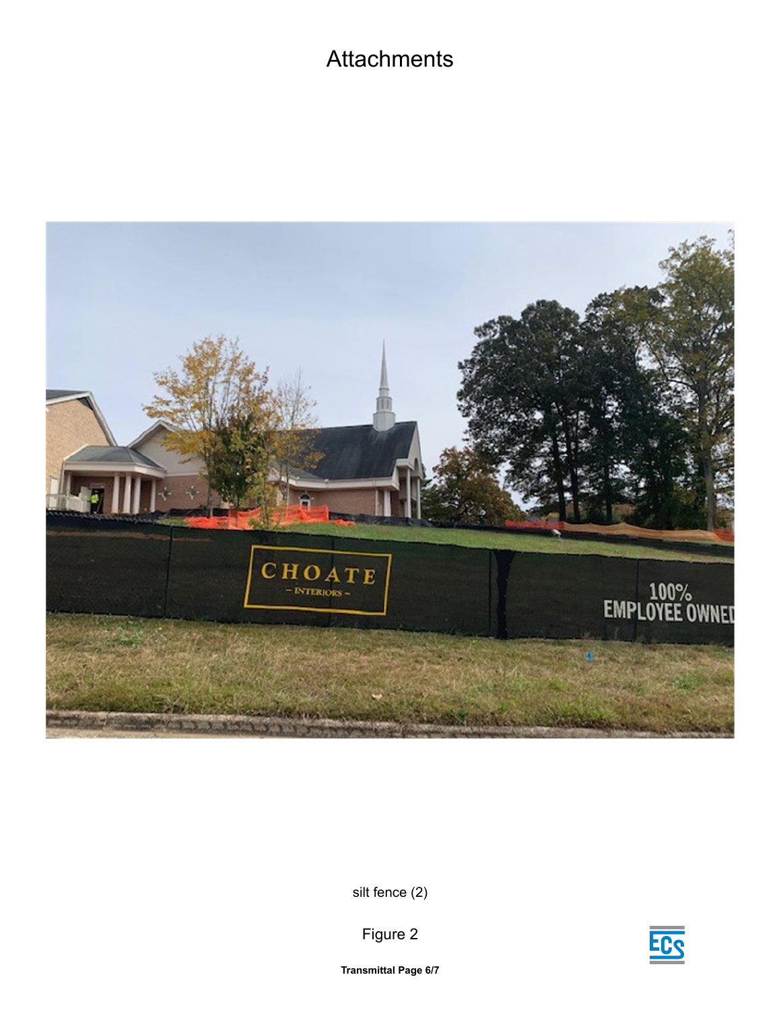### **Attachments**



silt fence (2)



Figure 2

**Transmittal Page 6/7**